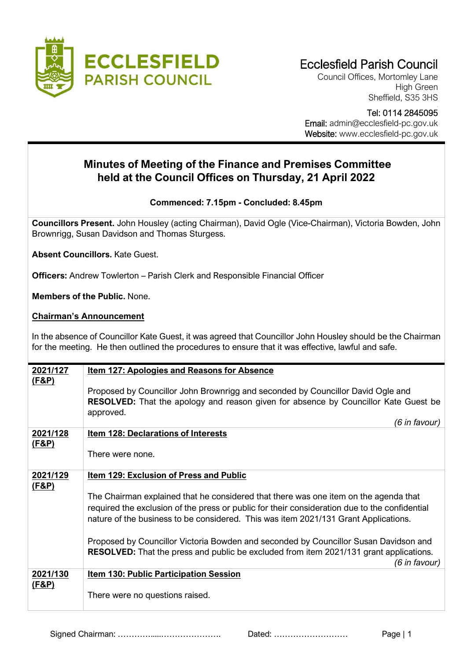

Council Offices, Mortomley Lane High Green Sheffield, S35 3HS

 Tel: 0114 2845095 Email: admin@ecclesfield-pc.gov.uk Website: www.ecclesfield-pc.gov.uk

## **Minutes of Meeting of the Finance and Premises Committee held at the Council Offices on Thursday, 21 April 2022**

## **Commenced: 7.15pm - Concluded: 8.45pm**

**Councillors Present.** John Housley (acting Chairman), David Ogle (Vice-Chairman), Victoria Bowden, John Brownrigg, Susan Davidson and Thomas Sturgess.

**Absent Councillors.** Kate Guest.

**Officers:** Andrew Towlerton – Parish Clerk and Responsible Financial Officer

**Members of the Public.** None.

## **Chairman's Announcement**

In the absence of Councillor Kate Guest, it was agreed that Councillor John Housley should be the Chairman for the meeting. He then outlined the procedures to ensure that it was effective, lawful and safe.

| 2021/127                     | <u>Item 127: Apologies and Reasons for Absence</u>                                                                                                                                                          |
|------------------------------|-------------------------------------------------------------------------------------------------------------------------------------------------------------------------------------------------------------|
| <u>(F&amp;P)</u>             | Proposed by Councillor John Brownrigg and seconded by Councillor David Ogle and<br><b>RESOLVED:</b> That the apology and reason given for absence by Councillor Kate Guest be<br>approved.<br>(6 in favour) |
| 2021/128                     | <b>Item 128: Declarations of Interests</b>                                                                                                                                                                  |
| <u>(F&amp;P)</u>             |                                                                                                                                                                                                             |
|                              | There were none.                                                                                                                                                                                            |
| 2021/129<br><u>(F&amp;P)</u> | Item 129: Exclusion of Press and Public                                                                                                                                                                     |
|                              | The Chairman explained that he considered that there was one item on the agenda that                                                                                                                        |
|                              | required the exclusion of the press or public for their consideration due to the confidential                                                                                                               |
|                              | nature of the business to be considered. This was item 2021/131 Grant Applications.                                                                                                                         |
|                              | Proposed by Councillor Victoria Bowden and seconded by Councillor Susan Davidson and                                                                                                                        |
|                              | <b>RESOLVED:</b> That the press and public be excluded from item 2021/131 grant applications.<br>(6 in favour)                                                                                              |
| 2021/130                     | <b>Item 130: Public Participation Session</b>                                                                                                                                                               |
| <u>(F&amp;P)</u>             | There were no questions raised.                                                                                                                                                                             |

Signed Chairman: ………….....…………………. Dated: ……………………… Page | 1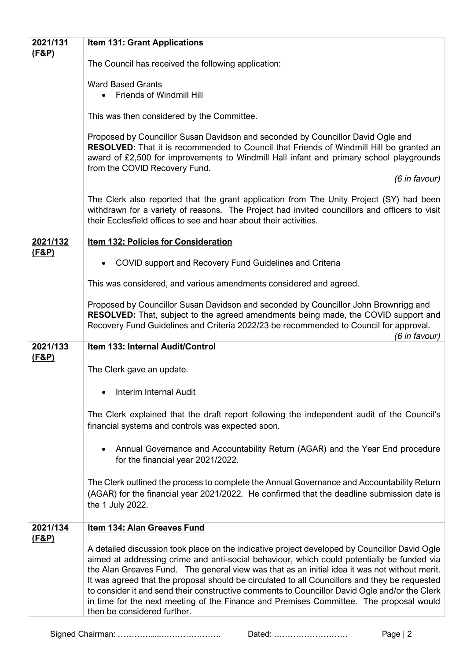| 2021/131         | <b>Item 131: Grant Applications</b>                                                                                                                                                                                                                                                                                                                                                                                                                                                                                                                                                                                     |
|------------------|-------------------------------------------------------------------------------------------------------------------------------------------------------------------------------------------------------------------------------------------------------------------------------------------------------------------------------------------------------------------------------------------------------------------------------------------------------------------------------------------------------------------------------------------------------------------------------------------------------------------------|
| <u>(F&amp;P)</u> |                                                                                                                                                                                                                                                                                                                                                                                                                                                                                                                                                                                                                         |
|                  | The Council has received the following application:                                                                                                                                                                                                                                                                                                                                                                                                                                                                                                                                                                     |
|                  | <b>Ward Based Grants</b>                                                                                                                                                                                                                                                                                                                                                                                                                                                                                                                                                                                                |
|                  | <b>Friends of Windmill Hill</b>                                                                                                                                                                                                                                                                                                                                                                                                                                                                                                                                                                                         |
|                  | This was then considered by the Committee.                                                                                                                                                                                                                                                                                                                                                                                                                                                                                                                                                                              |
|                  | Proposed by Councillor Susan Davidson and seconded by Councillor David Ogle and<br>RESOLVED: That it is recommended to Council that Friends of Windmill Hill be granted an<br>award of £2,500 for improvements to Windmill Hall infant and primary school playgrounds<br>from the COVID Recovery Fund.                                                                                                                                                                                                                                                                                                                  |
|                  | (6 in favour)                                                                                                                                                                                                                                                                                                                                                                                                                                                                                                                                                                                                           |
|                  | The Clerk also reported that the grant application from The Unity Project (SY) had been<br>withdrawn for a variety of reasons. The Project had invited councillors and officers to visit<br>their Ecclesfield offices to see and hear about their activities.                                                                                                                                                                                                                                                                                                                                                           |
| 2021/132         | <b>Item 132: Policies for Consideration</b>                                                                                                                                                                                                                                                                                                                                                                                                                                                                                                                                                                             |
| (F&P)            | COVID support and Recovery Fund Guidelines and Criteria                                                                                                                                                                                                                                                                                                                                                                                                                                                                                                                                                                 |
|                  |                                                                                                                                                                                                                                                                                                                                                                                                                                                                                                                                                                                                                         |
|                  | This was considered, and various amendments considered and agreed.                                                                                                                                                                                                                                                                                                                                                                                                                                                                                                                                                      |
|                  | Proposed by Councillor Susan Davidson and seconded by Councillor John Brownrigg and<br><b>RESOLVED:</b> That, subject to the agreed amendments being made, the COVID support and<br>Recovery Fund Guidelines and Criteria 2022/23 be recommended to Council for approval.<br>(6 in favour)                                                                                                                                                                                                                                                                                                                              |
| 2021/133         | <b>Item 133: Internal Audit/Control</b>                                                                                                                                                                                                                                                                                                                                                                                                                                                                                                                                                                                 |
| <u>(F&amp;P)</u> | The Clerk gave an update.                                                                                                                                                                                                                                                                                                                                                                                                                                                                                                                                                                                               |
|                  | <b>Interim Internal Audit</b>                                                                                                                                                                                                                                                                                                                                                                                                                                                                                                                                                                                           |
|                  | The Clerk explained that the draft report following the independent audit of the Council's<br>financial systems and controls was expected soon.                                                                                                                                                                                                                                                                                                                                                                                                                                                                         |
|                  | Annual Governance and Accountability Return (AGAR) and the Year End procedure<br>for the financial year 2021/2022.                                                                                                                                                                                                                                                                                                                                                                                                                                                                                                      |
|                  | The Clerk outlined the process to complete the Annual Governance and Accountability Return<br>(AGAR) for the financial year 2021/2022. He confirmed that the deadline submission date is<br>the 1 July 2022.                                                                                                                                                                                                                                                                                                                                                                                                            |
| 2021/134         | <b>Item 134: Alan Greaves Fund</b>                                                                                                                                                                                                                                                                                                                                                                                                                                                                                                                                                                                      |
| <u>(F&amp;P)</u> | A detailed discussion took place on the indicative project developed by Councillor David Ogle<br>aimed at addressing crime and anti-social behaviour, which could potentially be funded via<br>the Alan Greaves Fund. The general view was that as an initial idea it was not without merit.<br>It was agreed that the proposal should be circulated to all Councillors and they be requested<br>to consider it and send their constructive comments to Councillor David Ogle and/or the Clerk<br>in time for the next meeting of the Finance and Premises Committee. The proposal would<br>then be considered further. |